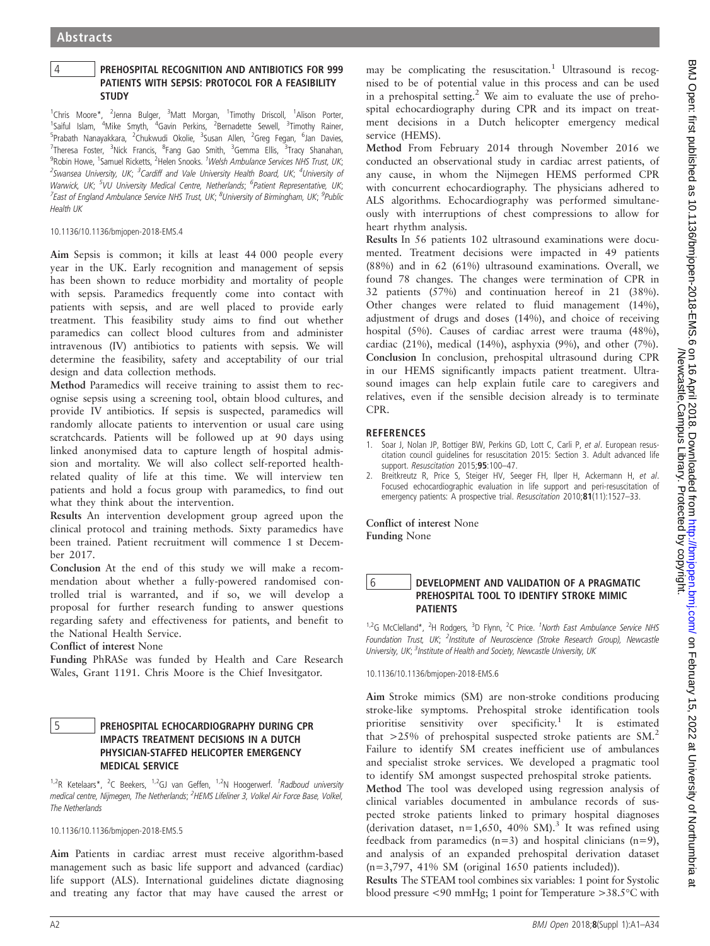# 4 PREHOSPITAL RECOGNITION AND ANTIBIOTICS FOR 999 PATIENTS WITH SEPSIS: PROTOCOL FOR A FEASIBILITY **STUDY**

<sup>1</sup>Chris Moore\*, <sup>2</sup>Jenna Bulger, <sup>3</sup>Matt Morgan, <sup>1</sup>Timothy Driscoll, <sup>1</sup>Alison Porter,<br><sup>1</sup>Saiful Islam, <sup>4</sup>Mike Smyth, <sup>4</sup>Gavin Perkins, <sup>2</sup>Bernadette Sewell, <sup>3</sup>Timothy Rainer, <sup>5</sup>Prabath Nanayakkara, <sup>2</sup>Chukwudi Okolie, <sup>3</sup>Susan Allen, <sup>2</sup>Greg Fegan, <sup>6</sup>Jan Davies, <sup>7</sup>Theresa Foster, <sup>3</sup>Nick Francis, <sup>8</sup>Fang Gao Smith, <sup>3</sup>Gemma Ellis, <sup>3</sup>Tracy Shanahan, <sup>9</sup>Robin Howe, <sup>1</sup>Samuel Ricketts, <sup>2</sup>Helen Snooks. *<sup>1</sup>Welsh Ambulance Services NHS Trust, UK*; <sup>2</sup>Swansea University, UK; <sup>3</sup>Cardiff and Vale University Health Board, UK; <sup>4</sup>University of Warwick, UK; <sup>5</sup>VU University Medical Centre, Netherlands; <sup>6</sup>Patient Representative, UK;  $^7$ East of England Ambulance Service NHS Trust, UK;  $^8$ University of Birmingham, UK;  $^9$ Public Health UK

10.1136/10.1136/bmjopen-2018-EMS.4

Aim Sepsis is common; it kills at least 44 000 people every year in the UK. Early recognition and management of sepsis has been shown to reduce morbidity and mortality of people with sepsis. Paramedics frequently come into contact with patients with sepsis, and are well placed to provide early treatment. This feasibility study aims to find out whether paramedics can collect blood cultures from and administer intravenous (IV) antibiotics to patients with sepsis. We will determine the feasibility, safety and acceptability of our trial design and data collection methods.

Method Paramedics will receive training to assist them to recognise sepsis using a screening tool, obtain blood cultures, and provide IV antibiotics. If sepsis is suspected, paramedics will randomly allocate patients to intervention or usual care using scratchcards. Patients will be followed up at 90 days using linked anonymised data to capture length of hospital admission and mortality. We will also collect self-reported healthrelated quality of life at this time. We will interview ten patients and hold a focus group with paramedics, to find out what they think about the intervention.

Results An intervention development group agreed upon the clinical protocol and training methods. Sixty paramedics have been trained. Patient recruitment will commence 1 st December 2017.

Conclusion At the end of this study we will make a recommendation about whether a fully-powered randomised controlled trial is warranted, and if so, we will develop a proposal for further research funding to answer questions regarding safety and effectiveness for patients, and benefit to the National Health Service.

Conflict of interest None

Funding PhRASe was funded by Health and Care Research Wales, Grant 1191. Chris Moore is the Chief Invesitgator.

# 5 PREHOSPITAL ECHOCARDIOGRAPHY DURING CPR IMPACTS TREATMENT DECISIONS IN A DUTCH PHYSICIAN-STAFFED HELICOPTER EMERGENCY MEDICAL SERVICE

<sup>1,2</sup>R Ketelaars\*, <sup>2</sup>C Beekers, <sup>1,2</sup>GJ van Geffen, <sup>1,2</sup>N Hoogerwerf. <sup>1</sup>Radboud university medical centre, Nijmegen, The Netherlands; <sup>2</sup>HEMS Lifeliner 3, Volkel Air Force Base, Volkel, The Netherlands

10.1136/10.1136/bmjopen-2018-EMS.5

Aim Patients in cardiac arrest must receive algorithm-based management such as basic life support and advanced (cardiac) life support (ALS). International guidelines dictate diagnosing and treating any factor that may have caused the arrest or

may be complicating the resuscitation.<sup>1</sup> Ultrasound is recognised to be of potential value in this process and can be used in a prehospital setting.<sup>2</sup> We aim to evaluate the use of prehospital echocardiography during CPR and its impact on treatment decisions in a Dutch helicopter emergency medical service (HEMS).

Method From February 2014 through November 2016 we conducted an observational study in cardiac arrest patients, of any cause, in whom the Nijmegen HEMS performed CPR with concurrent echocardiography. The physicians adhered to ALS algorithms. Echocardiography was performed simultaneously with interruptions of chest compressions to allow for heart rhythm analysis.

Results In 56 patients 102 ultrasound examinations were documented. Treatment decisions were impacted in 49 patients (88%) and in 62 (61%) ultrasound examinations. Overall, we found 78 changes. The changes were termination of CPR in 32 patients (57%) and continuation hereof in 21 (38%). Other changes were related to fluid management (14%), adjustment of drugs and doses (14%), and choice of receiving hospital (5%). Causes of cardiac arrest were trauma (48%), cardiac (21%), medical (14%), asphyxia (9%), and other (7%). Conclusion In conclusion, prehospital ultrasound during CPR in our HEMS significantly impacts patient treatment. Ultrasound images can help explain futile care to caregivers and relatives, even if the sensible decision already is to terminate CPR.

# **REFERENCES**

- 1. Soar J, Nolan JP, Bottiger BW, Perkins GD, Lott C, Carli P, et al. European resuscitation council guidelines for resuscitation 2015: Section 3. Adult advanced life support. Resuscitation 2015;95:100-47.
- 2. Breitkreutz R, Price S, Steiger HV, Seeger FH, Ilper H, Ackermann H, et al. Focused echocardiographic evaluation in life support and peri-resuscitation of emergency patients: A prospective trial. Resuscitation 2010;81(11):1527-33.

Conflict of interest None Funding None

# 6 DEVELOPMENT AND VALIDATION OF A PRAGMATIC PREHOSPITAL TOOL TO IDENTIFY STROKE MIMIC PATIENTS

<sup>1,2</sup>G McClelland\*, <sup>2</sup>H Rodgers, <sup>3</sup>D Flynn, <sup>2</sup>C Price. <sup>1</sup>North East Ambulance Service NHS Foundation Trust, UK; <sup>2</sup>Institute of Neuroscience (Stroke Research Group), Newcastle University, UK; <sup>3</sup>Institute of Health and Society, Newcastle University, UK

10.1136/10.1136/bmjopen-2018-EMS.6

Aim Stroke mimics (SM) are non-stroke conditions producing stroke-like symptoms. Prehospital stroke identification tools prioritise sensitivity over specificity.<sup>1</sup> It is estimated that  $>25\%$  of prehospital suspected stroke patients are SM.<sup>2</sup> Failure to identify SM creates inefficient use of ambulances and specialist stroke services. We developed a pragmatic tool to identify SM amongst suspected prehospital stroke patients. Method The tool was developed using regression analysis of clinical variables documented in ambulance records of suspected stroke patients linked to primary hospital diagnoses (derivation dataset,  $n=1,650, 40\%$  SM).<sup>3</sup> It was refined using feedback from paramedics  $(n=3)$  and hospital clinicians  $(n=9)$ ,

(n=3,797, 41% SM (original 1650 patients included)). Results The STEAM tool combines six variables: 1 point for Systolic blood pressure <90 mmHg; 1 point for Temperature >38.5°C with

and analysis of an expanded prehospital derivation dataset